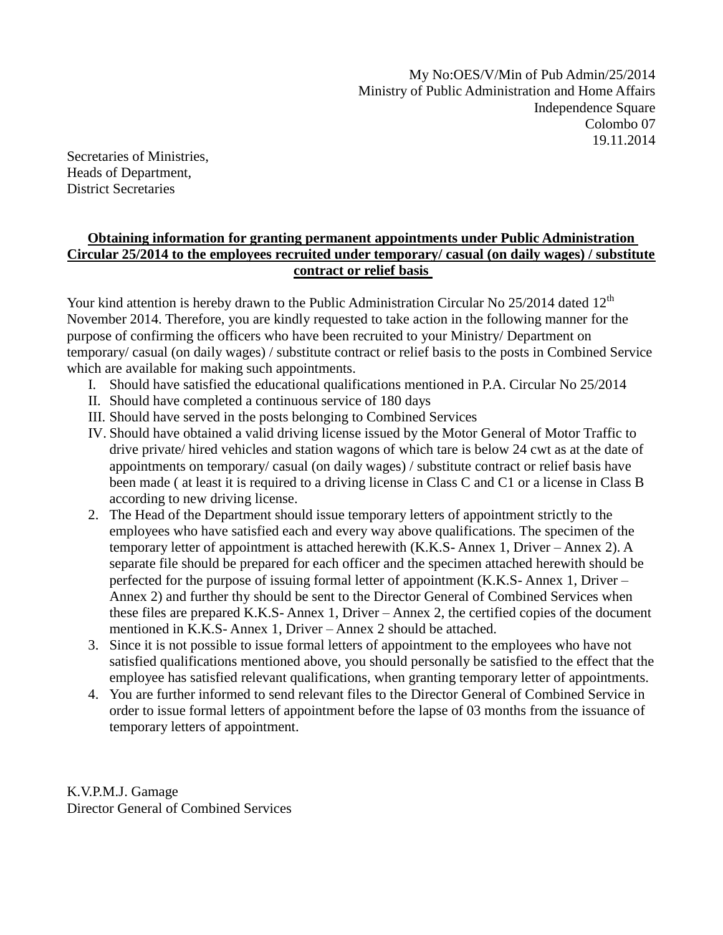My No:OES/V/Min of Pub Admin/25/2014 Ministry of Public Administration and Home Affairs Independence Square Colombo 07 19.11.2014

Secretaries of Ministries, Heads of Department, District Secretaries

# **Obtaining information for granting permanent appointments under Public Administration Circular 25/2014 to the employees recruited under temporary/ casual (on daily wages) / substitute contract or relief basis**

Your kind attention is hereby drawn to the Public Administration Circular No  $25/2014$  dated  $12<sup>th</sup>$ November 2014. Therefore, you are kindly requested to take action in the following manner for the purpose of confirming the officers who have been recruited to your Ministry/ Department on temporary/ casual (on daily wages) / substitute contract or relief basis to the posts in Combined Service which are available for making such appointments.

- I. Should have satisfied the educational qualifications mentioned in P.A. Circular No 25/2014
- II. Should have completed a continuous service of 180 days
- III. Should have served in the posts belonging to Combined Services
- IV. Should have obtained a valid driving license issued by the Motor General of Motor Traffic to drive private/ hired vehicles and station wagons of which tare is below 24 cwt as at the date of appointments on temporary/ casual (on daily wages) / substitute contract or relief basis have been made ( at least it is required to a driving license in Class C and C1 or a license in Class B according to new driving license.
- 2. The Head of the Department should issue temporary letters of appointment strictly to the employees who have satisfied each and every way above qualifications. The specimen of the temporary letter of appointment is attached herewith (K.K.S- Annex 1, Driver – Annex 2). A separate file should be prepared for each officer and the specimen attached herewith should be perfected for the purpose of issuing formal letter of appointment (K.K.S- Annex 1, Driver – Annex 2) and further thy should be sent to the Director General of Combined Services when these files are prepared K.K.S- Annex 1, Driver – Annex 2, the certified copies of the document mentioned in K.K.S- Annex 1, Driver – Annex 2 should be attached.
- 3. Since it is not possible to issue formal letters of appointment to the employees who have not satisfied qualifications mentioned above, you should personally be satisfied to the effect that the employee has satisfied relevant qualifications, when granting temporary letter of appointments.
- 4. You are further informed to send relevant files to the Director General of Combined Service in order to issue formal letters of appointment before the lapse of 03 months from the issuance of temporary letters of appointment.

K.V.P.M.J. Gamage Director General of Combined Services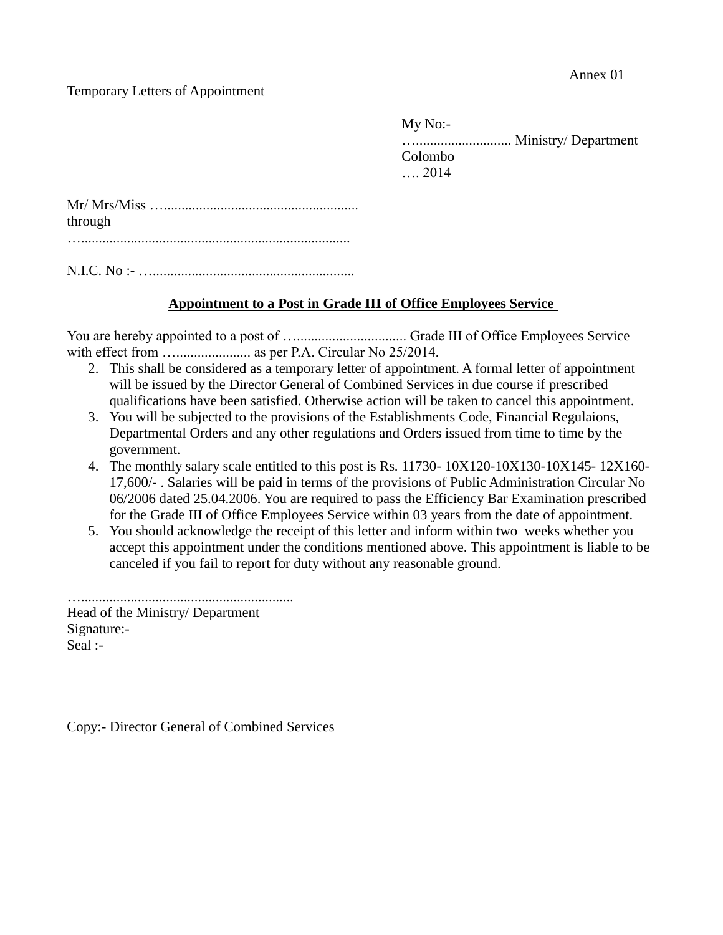#### Temporary Letters of Appointment

My No:- …........................... Ministry/ Department Colombo …. 2014

| through |  |
|---------|--|
|         |  |

N.I.C. No :- ….........................................................

## **Appointment to a Post in Grade III of Office Employees Service**

You are hereby appointed to a post of …............................... Grade III of Office Employees Service with effect from …..................... as per P.A. Circular No 25/2014.

- 2. This shall be considered as a temporary letter of appointment. A formal letter of appointment will be issued by the Director General of Combined Services in due course if prescribed qualifications have been satisfied. Otherwise action will be taken to cancel this appointment.
- 3. You will be subjected to the provisions of the Establishments Code, Financial Regulaions, Departmental Orders and any other regulations and Orders issued from time to time by the government.
- 4. The monthly salary scale entitled to this post is Rs. 11730- 10X120-10X130-10X145- 12X160- 17,600/- . Salaries will be paid in terms of the provisions of Public Administration Circular No 06/2006 dated 25.04.2006. You are required to pass the Efficiency Bar Examination prescribed for the Grade III of Office Employees Service within 03 years from the date of appointment.
- 5. You should acknowledge the receipt of this letter and inform within two weeks whether you accept this appointment under the conditions mentioned above. This appointment is liable to be canceled if you fail to report for duty without any reasonable ground.

…............................................................ Head of the Ministry/ Department Signature:- Seal :-

Copy:- Director General of Combined Services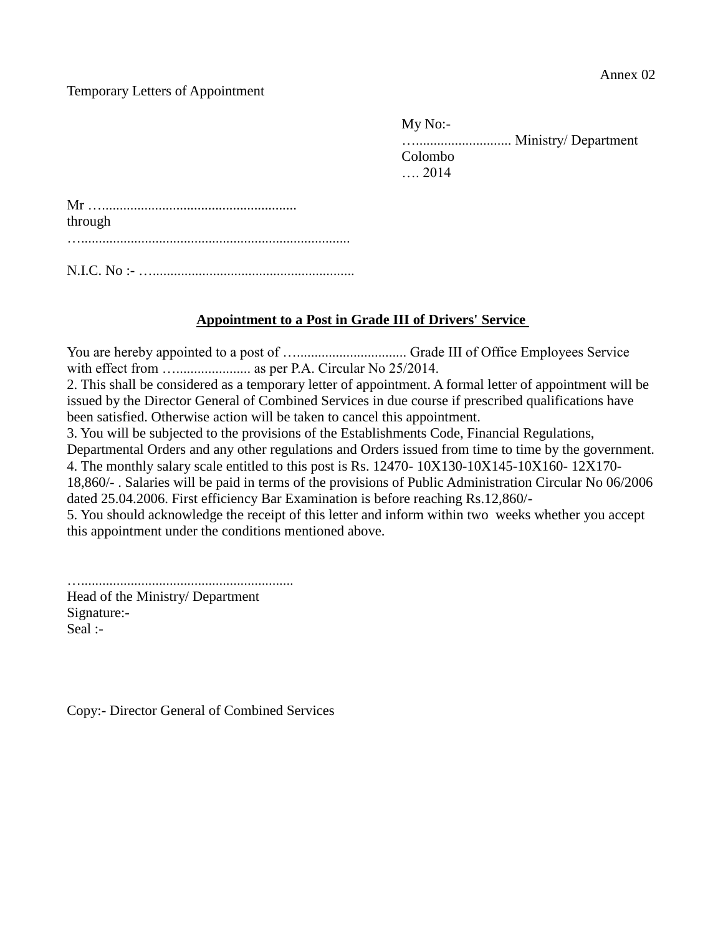#### Temporary Letters of Appointment

My No:- …........................... Ministry/ Department Colombo …. 2014

| through |  |  |
|---------|--|--|
|         |  |  |
|         |  |  |
|         |  |  |

## **Appointment to a Post in Grade III of Drivers' Service**

You are hereby appointed to a post of …............................... Grade III of Office Employees Service with effect from …..................... as per P.A. Circular No 25/2014. 2. This shall be considered as a temporary letter of appointment. A formal letter of appointment will be issued by the Director General of Combined Services in due course if prescribed qualifications have been satisfied. Otherwise action will be taken to cancel this appointment. 3. You will be subjected to the provisions of the Establishments Code, Financial Regulations, Departmental Orders and any other regulations and Orders issued from time to time by the government. 4. The monthly salary scale entitled to this post is Rs. 12470- 10X130-10X145-10X160- 12X170- 18,860/- . Salaries will be paid in terms of the provisions of Public Administration Circular No 06/2006 dated 25.04.2006. First efficiency Bar Examination is before reaching Rs.12,860/- 5. You should acknowledge the receipt of this letter and inform within two weeks whether you accept this appointment under the conditions mentioned above.

…............................................................

Head of the Ministry/ Department Signature:- Seal :-

Copy:- Director General of Combined Services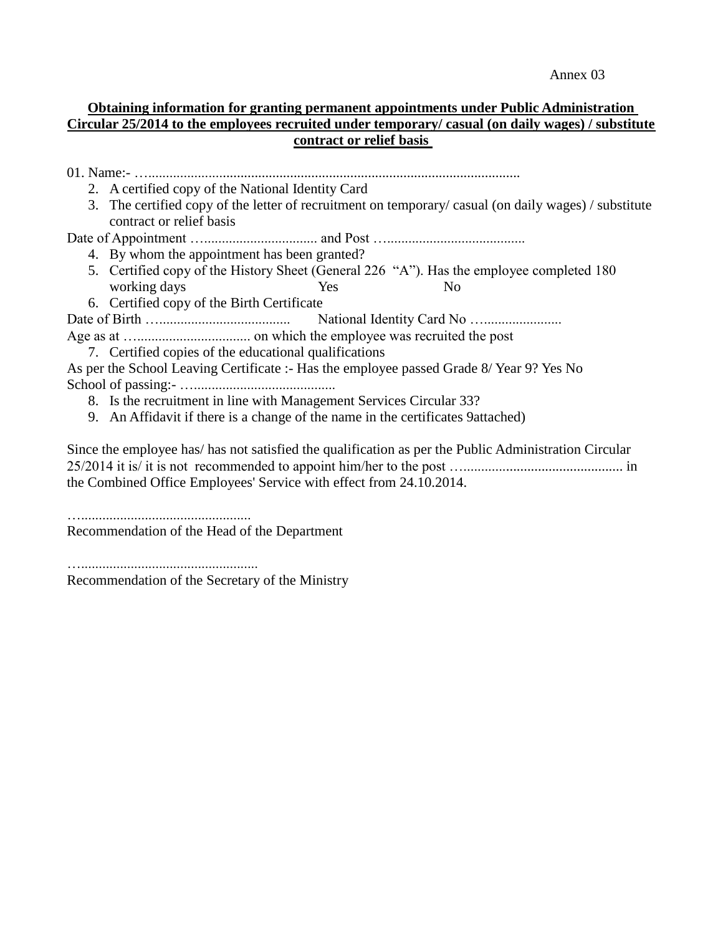Annex 03

# **Obtaining information for granting permanent appointments under Public Administration Circular 25/2014 to the employees recruited under temporary/ casual (on daily wages) / substitute contract or relief basis**

| 2. A certified copy of the National Identity Card                                                                                |
|----------------------------------------------------------------------------------------------------------------------------------|
| 3. The certified copy of the letter of recruitment on temporary/casual (on daily wages) / substitute<br>contract or relief basis |
|                                                                                                                                  |
| 4. By whom the appointment has been granted?                                                                                     |
| 5. Certified copy of the History Sheet (General 226 "A"). Has the employee completed 180                                         |
| working days<br>Yes<br>N <sub>0</sub>                                                                                            |
| 6. Certified copy of the Birth Certificate                                                                                       |
|                                                                                                                                  |
|                                                                                                                                  |
| 7. Certified copies of the educational qualifications                                                                            |
| As per the School Leaving Certificate :- Has the employee passed Grade 8/ Year 9? Yes No                                         |
|                                                                                                                                  |
| 8. Is the recruitment in line with Management Services Circular 33?                                                              |
| 9. An Affidavit if there is a change of the name in the certificates 9 attached)                                                 |
|                                                                                                                                  |

Since the employee has/ has not satisfied the qualification as per the Public Administration Circular 25/2014 it is/ it is not recommended to appoint him/her to the post …............................................. in the Combined Office Employees' Service with effect from 24.10.2014.

…................................................

Recommendation of the Head of the Department

….................................................. Recommendation of the Secretary of the Ministry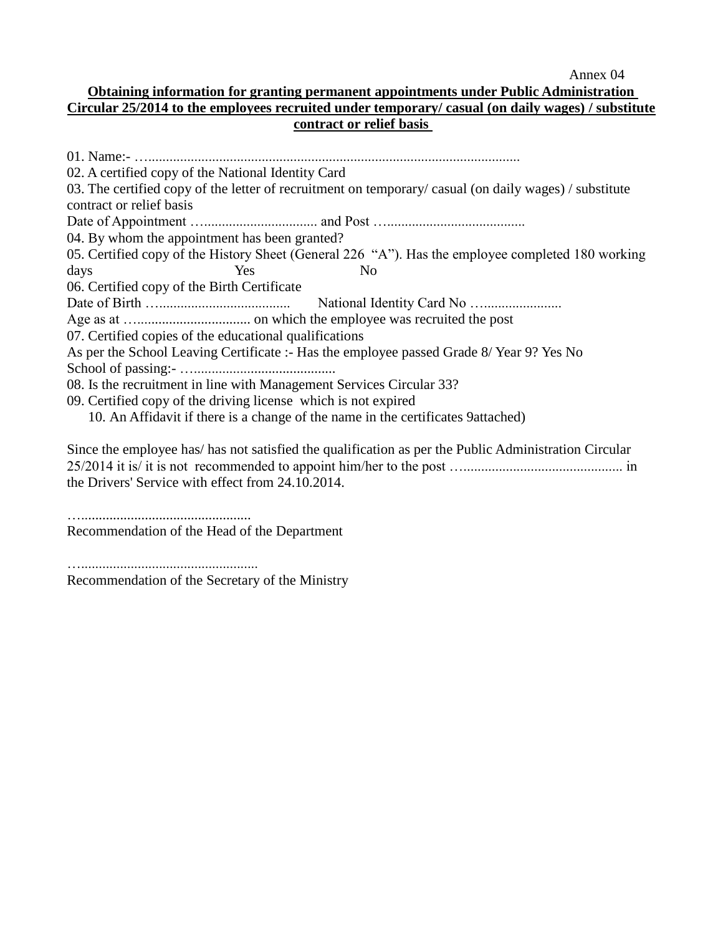Annex 04

### **Obtaining information for granting permanent appointments under Public Administration Circular 25/2014 to the employees recruited under temporary/ casual (on daily wages) / substitute contract or relief basis**

| 02. A certified copy of the National Identity Card                                                    |
|-------------------------------------------------------------------------------------------------------|
| 03. The certified copy of the letter of recruitment on temporary/casual (on daily wages) / substitute |
| contract or relief basis                                                                              |
|                                                                                                       |
| 04. By whom the appointment has been granted?                                                         |
| 05. Certified copy of the History Sheet (General 226 "A"). Has the employee completed 180 working     |
| days<br>N <sub>0</sub><br><b>Yes</b>                                                                  |
| 06. Certified copy of the Birth Certificate                                                           |
|                                                                                                       |
|                                                                                                       |
| 07. Certified copies of the educational qualifications                                                |
| As per the School Leaving Certificate :- Has the employee passed Grade 8/ Year 9? Yes No              |
|                                                                                                       |
| 08. Is the recruitment in line with Management Services Circular 33?                                  |
| 09. Certified copy of the driving license which is not expired                                        |
| 10. An Affidavit if there is a change of the name in the certificates 9 attached)                     |
|                                                                                                       |

Since the employee has/ has not satisfied the qualification as per the Public Administration Circular 25/2014 it is/ it is not recommended to appoint him/her to the post …............................................. in the Drivers' Service with effect from 24.10.2014.

…................................................

Recommendation of the Head of the Department

….................................................. Recommendation of the Secretary of the Ministry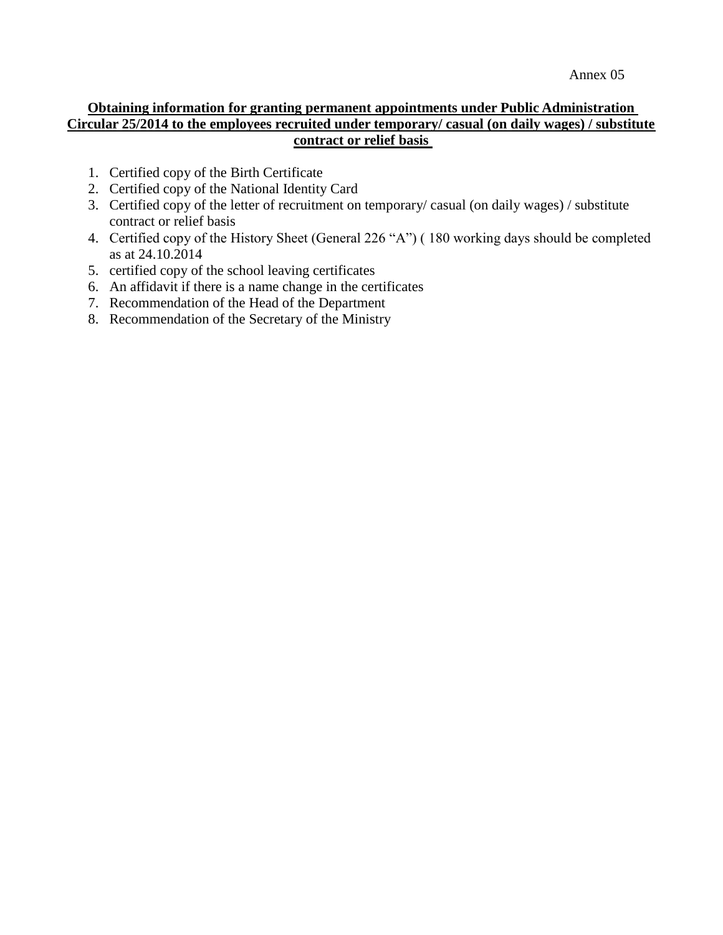### **Obtaining information for granting permanent appointments under Public Administration Circular 25/2014 to the employees recruited under temporary/ casual (on daily wages) / substitute contract or relief basis**

- 1. Certified copy of the Birth Certificate
- 2. Certified copy of the National Identity Card
- 3. Certified copy of the letter of recruitment on temporary/ casual (on daily wages) / substitute contract or relief basis
- 4. Certified copy of the History Sheet (General 226 "A") ( 180 working days should be completed as at 24.10.2014
- 5. certified copy of the school leaving certificates
- 6. An affidavit if there is a name change in the certificates
- 7. Recommendation of the Head of the Department
- 8. Recommendation of the Secretary of the Ministry